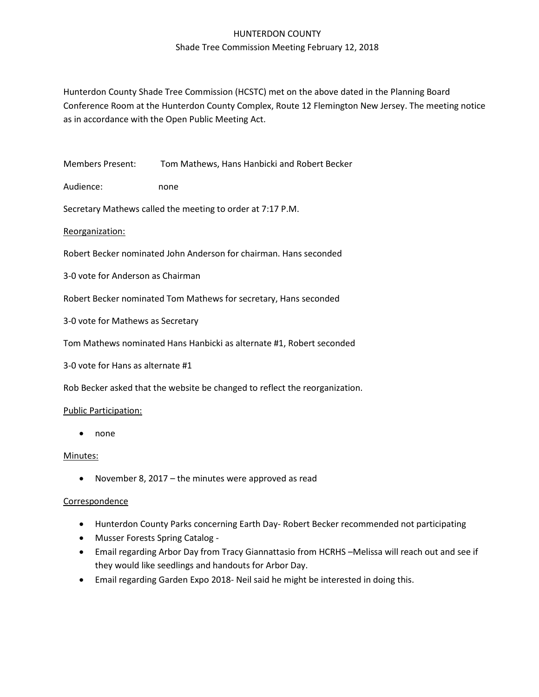# HUNTERDON COUNTY Shade Tree Commission Meeting February 12, 2018

Hunterdon County Shade Tree Commission (HCSTC) met on the above dated in the Planning Board Conference Room at the Hunterdon County Complex, Route 12 Flemington New Jersey. The meeting notice as in accordance with the Open Public Meeting Act.

Members Present: Tom Mathews, Hans Hanbicki and Robert Becker

Audience: none

Secretary Mathews called the meeting to order at 7:17 P.M.

Reorganization:

Robert Becker nominated John Anderson for chairman. Hans seconded

3-0 vote for Anderson as Chairman

Robert Becker nominated Tom Mathews for secretary, Hans seconded

3-0 vote for Mathews as Secretary

Tom Mathews nominated Hans Hanbicki as alternate #1, Robert seconded

3-0 vote for Hans as alternate #1

Rob Becker asked that the website be changed to reflect the reorganization.

#### Public Participation:

• none

## Minutes:

• November 8, 2017 – the minutes were approved as read

## **Correspondence**

- Hunterdon County Parks concerning Earth Day- Robert Becker recommended not participating
- Musser Forests Spring Catalog -
- Email regarding Arbor Day from Tracy Giannattasio from HCRHS –Melissa will reach out and see if they would like seedlings and handouts for Arbor Day.
- Email regarding Garden Expo 2018- Neil said he might be interested in doing this.